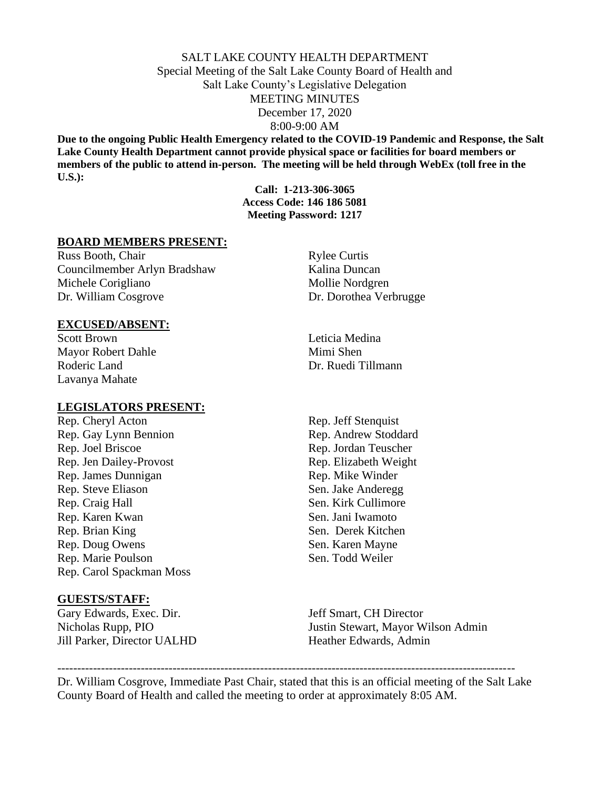# SALT LAKE COUNTY HEALTH DEPARTMENT Special Meeting of the Salt Lake County Board of Health and Salt Lake County's Legislative Delegation MEETING MINUTES December 17, 2020 8:00-9:00 AM

**Due to the ongoing Public Health Emergency related to the COVID-19 Pandemic and Response, the Salt Lake County Health Department cannot provide physical space or facilities for board members or members of the public to attend in-person. The meeting will be held through WebEx (toll free in the U.S.):**

> **Call: 1-213-306-3065 Access Code: 146 186 5081 Meeting Password: 1217**

## **BOARD MEMBERS PRESENT:**

Russ Booth, Chair Rylee Curtis Councilmember Arlyn Bradshaw Kalina Duncan Michele Corigliano Mollie Nordgren Dr. William Cosgrove Dr. Dorothea Verbrugge

### **EXCUSED/ABSENT:**

Scott Brown Leticia Medina Mayor Robert Dahle Mimi Shen Roderic Land Dr. Ruedi Tillmann Lavanya Mahate

## **LEGISLATORS PRESENT:**

Rep. Cheryl Acton Rep. Jeff Stenquist Rep. Gay Lynn Bennion Rep. Andrew Stoddard Rep. Joel Briscoe Rep. Jordan Teuscher Rep. Jen Dailey-Provost Rep. Elizabeth Weight Rep. James Dunnigan Rep. Mike Winder Rep. Steve Eliason Sen. Jake Anderegg Rep. Craig Hall Sen. Kirk Cullimore Rep. Karen Kwan Sen. Jani Iwamoto Rep. Brian King Sen. Derek Kitchen Rep. Doug Owens Sen. Karen Mayne Rep. Marie Poulson Sen. Todd Weiler Rep. Carol Spackman Moss

#### **GUESTS/STAFF:**

Gary Edwards, Exec. Dir. Jeff Smart, CH Director Jill Parker, Director UALHD Heather Edwards, Admin

Nicholas Rupp, PIO Justin Stewart, Mayor Wilson Admin

Dr. William Cosgrove, Immediate Past Chair, stated that this is an official meeting of the Salt Lake County Board of Health and called the meeting to order at approximately 8:05 AM.

-------------------------------------------------------------------------------------------------------------------